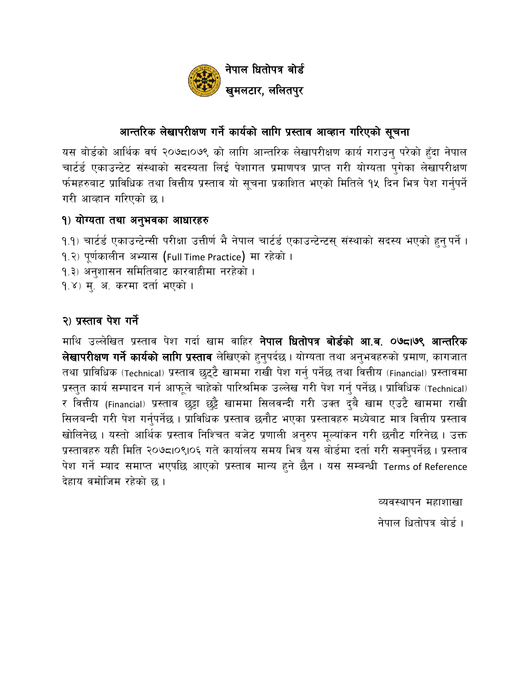

# आन्तरिक लेखापरीक्षण गर्ने कार्यको लागि प्रस्ताव आव्हान गरिएको सूचना

यस बोर्डको आर्थिक वर्ष २०७८10७९ को लागि आन्तरिक लेखापरीक्षण कार्य गराउन परेको हुँदा नेपाल चार्टर्ड एकाउन्टेट संस्थाको सदस्यता लिई पेशागत प्रमाणपत्र प्राप्त गरी योग्यता पुगेका लेखापरीक्षण र्फमहरुबाट प्राविधिक तथा वित्तीय प्रस्ताव यो सूचना प्रकाशित भएको मितिले १५ दिन भित्र पेश गर्नुपर्ने गरी आव्हान गरिएको छ।

# १) योग्यता तथा अनुभवका आधारहरु

- १.१) चार्टर्ड एकाउन्टेन्सी परीक्षा उत्तीर्ण भै नेपाल चार्टर्ड एकाउन्टेन्टस् संस्थाको सदस्य भएको हुन् पर्ने ।
- १.२) पूर्णकालीन अभ्यास (Full Time Practice) मा रहेको ।
- १.३) अनुशासन समितिबाट कारवाहीमा नरहेको ।
- १.४) म्. अ. करमा दर्ता भएको ।

# २) प्रस्ताव पेश गर्ने

माथि उल्लेखित प्रस्ताव पेश गर्दा खाम वाहिर **नेपाल धितोपत्र बोर्डको आ.ब. ०७८।७९ आन्तरिक** लेखापरीक्षण गर्ने कार्यको लागि प्रस्ताव लेखिएको हुनुपर्दछ । योग्यता तथा अनुभवहरुको प्रमाण, कागजात तथा प्राविधिक (Technical) प्रस्ताव छुट्टै खाममा राखी पेश गर्नु पर्नेछ तथा वित्तीय (Financial) प्रस्तावमा प्रस्तुत कार्य सम्पादन गर्न आफूले चाहेको पारिश्रमिक उल्लेख गरी पेश गर्नु पर्नेछ । प्राविधिक (Technical) र वित्तीय (Financial) प्रस्ताव छुट्टा छुट्टै खाममा सिलवन्दी गरी उक्त दुबै खाम एउटै खाममा राखी सिलबन्दी गरी पेश गर्नुपर्नेछ । प्राविधिक प्रस्ताव छनौट भएका प्रस्तावहरु मध्येबाट मात्र वित्तीय प्रस्ताव खोलिनेछ । यस्तो आर्थिक प्रस्ताव निश्चित बजेट प्रणाली अनुरुप मूल्यांकन गरी छनौट गरिनेछ । उक्त प्रस्तावहरु यही मिति २०७८।०९।०६ गते कार्यालय समय भित्र यस बोर्डमा दर्ता गरी सक्नुपर्नेछ। प्रस्ताव पेश गर्ने म्याद समाप्त भएपछि आएको प्रस्ताव मान्य हुने छैन । यस सम्बन्धी Terms of Reference देहाय वमोजिम रहेको छ ।

व्यवस्थापन महाशाखा

नेपाल धितोपत्र बोर्ड ।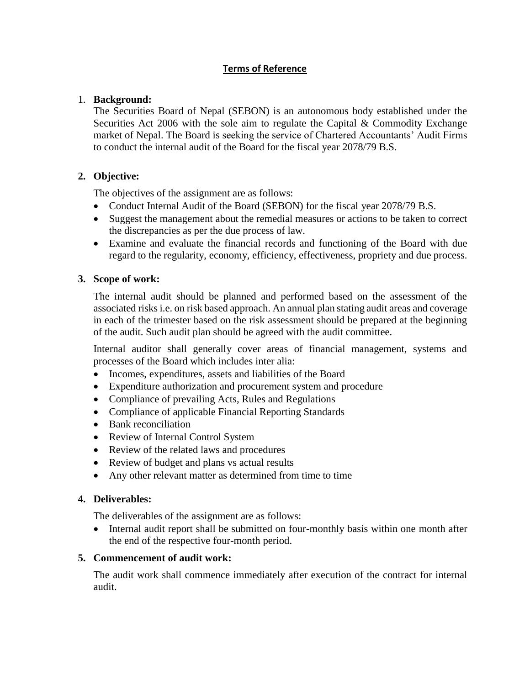## **Terms of Reference**

## 1. **Background:**

The Securities Board of Nepal (SEBON) is an autonomous body established under the Securities Act 2006 with the sole aim to regulate the Capital & Commodity Exchange market of Nepal. The Board is seeking the service of Chartered Accountants' Audit Firms to conduct the internal audit of the Board for the fiscal year 2078/79 B.S.

## **2. Objective:**

The objectives of the assignment are as follows:

- Conduct Internal Audit of the Board (SEBON) for the fiscal year 2078/79 B.S.
- Suggest the management about the remedial measures or actions to be taken to correct the discrepancies as per the due process of law.
- Examine and evaluate the financial records and functioning of the Board with due regard to the regularity, economy, efficiency, effectiveness, propriety and due process.

## **3. Scope of work:**

The internal audit should be planned and performed based on the assessment of the associated risks i.e. on risk based approach. An annual plan stating audit areas and coverage in each of the trimester based on the risk assessment should be prepared at the beginning of the audit. Such audit plan should be agreed with the audit committee.

Internal auditor shall generally cover areas of financial management, systems and processes of the Board which includes inter alia:

- Incomes, expenditures, assets and liabilities of the Board
- Expenditure authorization and procurement system and procedure
- Compliance of prevailing Acts, Rules and Regulations
- Compliance of applicable Financial Reporting Standards
- Bank reconciliation
- Review of Internal Control System
- Review of the related laws and procedures
- Review of budget and plans vs actual results
- Any other relevant matter as determined from time to time

### **4. Deliverables:**

The deliverables of the assignment are as follows:

• Internal audit report shall be submitted on four-monthly basis within one month after the end of the respective four-month period.

### **5. Commencement of audit work:**

The audit work shall commence immediately after execution of the contract for internal audit.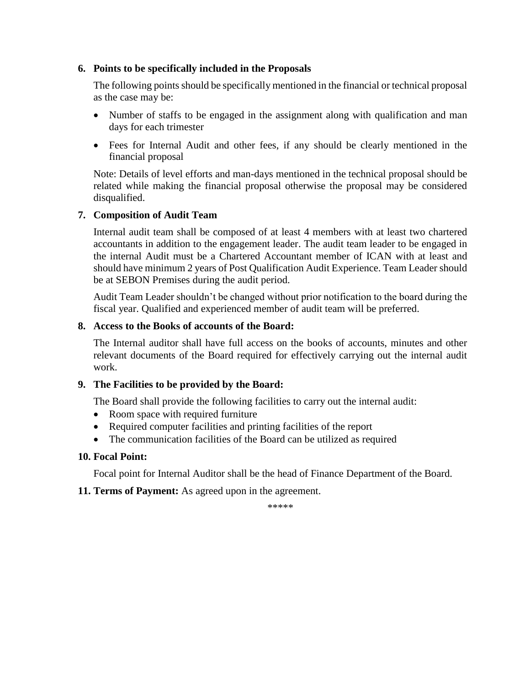### **6. Points to be specifically included in the Proposals**

The following points should be specifically mentioned in the financial or technical proposal as the case may be:

- Number of staffs to be engaged in the assignment along with qualification and man days for each trimester
- Fees for Internal Audit and other fees, if any should be clearly mentioned in the financial proposal

Note: Details of level efforts and man-days mentioned in the technical proposal should be related while making the financial proposal otherwise the proposal may be considered disqualified.

## **7. Composition of Audit Team**

Internal audit team shall be composed of at least 4 members with at least two chartered accountants in addition to the engagement leader. The audit team leader to be engaged in the internal Audit must be a Chartered Accountant member of ICAN with at least and should have minimum 2 years of Post Qualification Audit Experience. Team Leader should be at SEBON Premises during the audit period.

Audit Team Leader shouldn't be changed without prior notification to the board during the fiscal year. Qualified and experienced member of audit team will be preferred.

### **8. Access to the Books of accounts of the Board:**

The Internal auditor shall have full access on the books of accounts, minutes and other relevant documents of the Board required for effectively carrying out the internal audit work.

### **9. The Facilities to be provided by the Board:**

The Board shall provide the following facilities to carry out the internal audit:

- Room space with required furniture
- Required computer facilities and printing facilities of the report
- The communication facilities of the Board can be utilized as required

## **10. Focal Point:**

Focal point for Internal Auditor shall be the head of Finance Department of the Board.

### **11. Terms of Payment:** As agreed upon in the agreement.

\*\*\*\*\*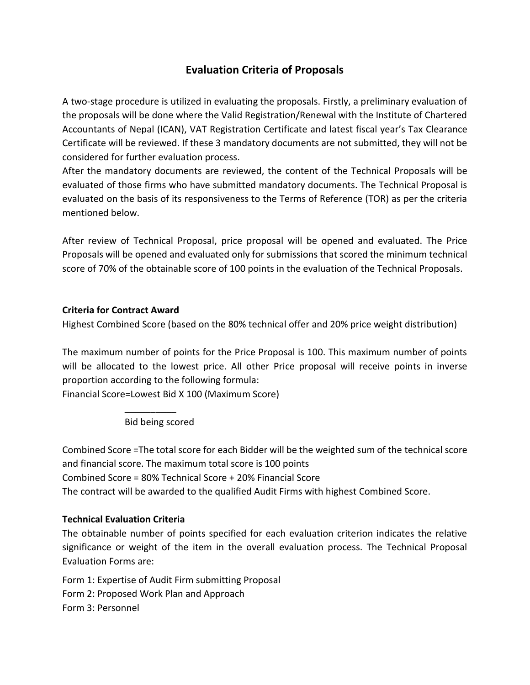# **Evaluation Criteria of Proposals**

A two-stage procedure is utilized in evaluating the proposals. Firstly, a preliminary evaluation of the proposals will be done where the Valid Registration/Renewal with the Institute of Chartered Accountants of Nepal (ICAN), VAT Registration Certificate and latest fiscal year's Tax Clearance Certificate will be reviewed. If these 3 mandatory documents are not submitted, they will not be considered for further evaluation process.

After the mandatory documents are reviewed, the content of the Technical Proposals will be evaluated of those firms who have submitted mandatory documents. The Technical Proposal is evaluated on the basis of its responsiveness to the Terms of Reference (TOR) as per the criteria mentioned below.

After review of Technical Proposal, price proposal will be opened and evaluated. The Price Proposals will be opened and evaluated only for submissions that scored the minimum technical score of 70% of the obtainable score of 100 points in the evaluation of the Technical Proposals.

## **Criteria for Contract Award**

Highest Combined Score (based on the 80% technical offer and 20% price weight distribution)

The maximum number of points for the Price Proposal is 100. This maximum number of points will be allocated to the lowest price. All other Price proposal will receive points in inverse proportion according to the following formula:

Financial Score=Lowest Bid X 100 (Maximum Score)

Bid being scored

\_\_\_\_\_\_\_\_\_\_

Combined Score =The total score for each Bidder will be the weighted sum of the technical score and financial score. The maximum total score is 100 points Combined Score = 80% Technical Score + 20% Financial Score The contract will be awarded to the qualified Audit Firms with highest Combined Score.

## **Technical Evaluation Criteria**

The obtainable number of points specified for each evaluation criterion indicates the relative significance or weight of the item in the overall evaluation process. The Technical Proposal Evaluation Forms are:

Form 1: Expertise of Audit Firm submitting Proposal Form 2: Proposed Work Plan and Approach Form 3: Personnel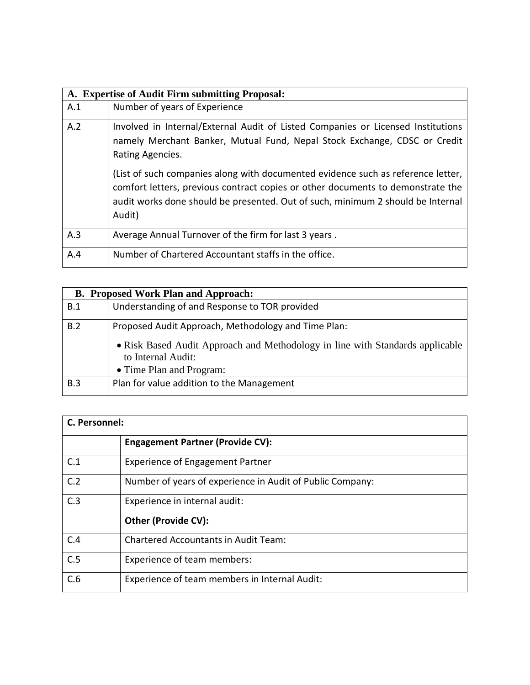| A. Expertise of Audit Firm submitting Proposal: |                                                                                                                                                                                                                                                                  |  |
|-------------------------------------------------|------------------------------------------------------------------------------------------------------------------------------------------------------------------------------------------------------------------------------------------------------------------|--|
| A.1                                             | Number of years of Experience                                                                                                                                                                                                                                    |  |
| A.2                                             | Involved in Internal/External Audit of Listed Companies or Licensed Institutions<br>namely Merchant Banker, Mutual Fund, Nepal Stock Exchange, CDSC or Credit<br>Rating Agencies.                                                                                |  |
|                                                 | (List of such companies along with documented evidence such as reference letter,<br>comfort letters, previous contract copies or other documents to demonstrate the<br>audit works done should be presented. Out of such, minimum 2 should be Internal<br>Audit) |  |
| A.3                                             | Average Annual Turnover of the firm for last 3 years.                                                                                                                                                                                                            |  |
| A.4                                             | Number of Chartered Accountant staffs in the office.                                                                                                                                                                                                             |  |

|     | <b>B. Proposed Work Plan and Approach:</b>                                                          |
|-----|-----------------------------------------------------------------------------------------------------|
| B.1 | Understanding of and Response to TOR provided                                                       |
| B.2 | Proposed Audit Approach, Methodology and Time Plan:                                                 |
|     | • Risk Based Audit Approach and Methodology in line with Standards applicable<br>to Internal Audit: |
|     | • Time Plan and Program:                                                                            |
| B.3 | Plan for value addition to the Management                                                           |

| C. Personnel: |                                                           |  |
|---------------|-----------------------------------------------------------|--|
|               | <b>Engagement Partner (Provide CV):</b>                   |  |
| C.1           | <b>Experience of Engagement Partner</b>                   |  |
| C.2           | Number of years of experience in Audit of Public Company: |  |
| C.3           | Experience in internal audit:                             |  |
|               | <b>Other (Provide CV):</b>                                |  |
| C.4           | <b>Chartered Accountants in Audit Team:</b>               |  |
| C.5           | Experience of team members:                               |  |
| C.6           | Experience of team members in Internal Audit:             |  |